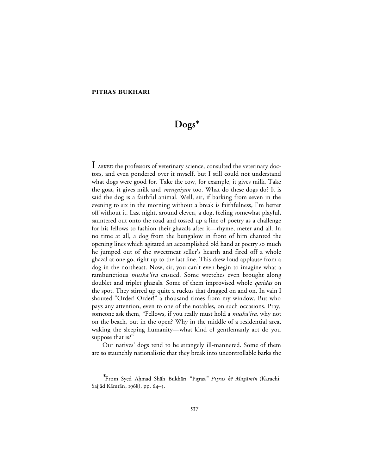### **PITRAS BUKHARI**

# **Dogs**<sup>∗</sup>

I ASKED the professors of veterinary science, consulted the veterinary doctors, and even pondered over it myself, but I still could not understand what dogs were good for. Take the cow, for example, it gives milk. Take the goat, it gives milk and *mengniyan* too. What do these dogs do? It is said the dog is a faithful animal. Well, sir, if barking from seven in the evening to six in the morning without a break is faithfulness, I'm better off without it. Last night, around eleven, a dog, feeling somewhat playful, sauntered out onto the road and tossed up a line of poetry as a challenge for his fellows to fashion their ghazals after it—rhyme, meter and all. In no time at all, a dog from the bungalow in front of him chanted the opening lines which agitated an accomplished old hand at poetry so much he jumped out of the sweetmeat seller's hearth and fired off a whole ghazal at one go, right up to the last line. This drew loud applause from a dog in the northeast. Now, sir, you can't even begin to imagine what a rambunctious *musha'ira* ensued. Some wretches even brought along doublet and triplet ghazals. Some of them improvised whole *qasidas* on the spot. They stirred up quite a ruckus that dragged on and on. In vain I shouted "Order! Order!" a thousand times from my window. But who pays any attention, even to one of the notables, on such occasions. Pray, someone ask them, "Fellows, if you really must hold a *musha'ira*, why not on the beach, out in the open? Why in the middle of a residential area, waking the sleeping humanity—what kind of gentlemanly act do you suppose that is?"

Our natives' dogs tend to be strangely ill-mannered. Some of them are so staunchly nationalistic that they break into uncontrollable barks the

<sup>∗</sup> <sup>®</sup>From Syed Ahmad Shāh Bukhāri "Pitras," Pitras kē Mazāmīn (Karachi: Sajjād Kāmrān, 1968), pp. 64-5.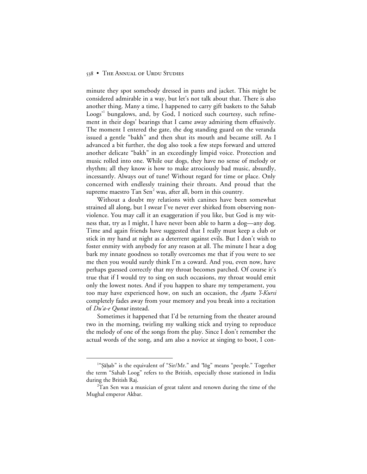#### 538 • THE ANNUAL OF URDU STUDIES

minute they spot somebody dressed in pants and jacket. This might be considered admirable in a way, but let's not talk about that. There is also another thing. Many a time, I happened to carry gift baskets to the Sahab Loogs<sup>'1</sup> bungalows, and, by God, I noticed such courtesy, such refinement in their dogs' bearings that I came away admiring them effusively. The moment I entered the gate, the dog standing guard on the veranda issued a gentle "bakh" and then shut its mouth and became still. As I advanced a bit further, the dog also took a few steps forward and uttered another delicate "bakh" in an exceedingly limpid voice. Protection and music rolled into one. While our dogs, they have no sense of melody or rhythm; all they know is how to make atrociously bad music, absurdly, incessantly. Always out of tune! Without regard for time or place. Only concerned with endlessly training their throats. And proud that the supreme maestro  $\operatorname{Tan}$  Sen $^2$  was, after all, born in this country.

Without a doubt my relations with canines have been somewhat strained all along, but I swear I've never ever shirked from observing nonviolence. You may call it an exaggeration if you like, but God is my witness that, try as I might, I have never been able to harm a dog—any dog. Time and again friends have suggested that I really must keep a club or stick in my hand at night as a deterrent against evils. But I don't wish to foster enmity with anybody for any reason at all. The minute I hear a dog bark my innate goodness so totally overcomes me that if you were to see me then you would surely think I'm a coward. And you, even now, have perhaps guessed correctly that my throat becomes parched. Of course it's true that if I would try to sing on such occasions, my throat would emit only the lowest notes. And if you happen to share my temperament, you too may have experienced how, on such an occasion, the *Ayatu 'l-Kursi* completely fades away from your memory and you break into a recitation of *Du'a-e Qunut* instead.

Sometimes it happened that I'd be returning from the theater around two in the morning, twirling my walking stick and trying to reproduce the melody of one of the songs from the play. Since I don't remember the actual words of the song, and am also a novice at singing to boot, I con-

 $\overline{\phantom{a}}$ <sup>1</sup>"Şāḥab" is the equivalent of "Sir/Mr." and "lōg" means "people." Together the term "Sahab Loog" refers to the British, especially those stationed in India during the British Raj.

 $^{2}$ Tan Sen was a musician of great talent and renown during the time of the Mughal emperor Akbar.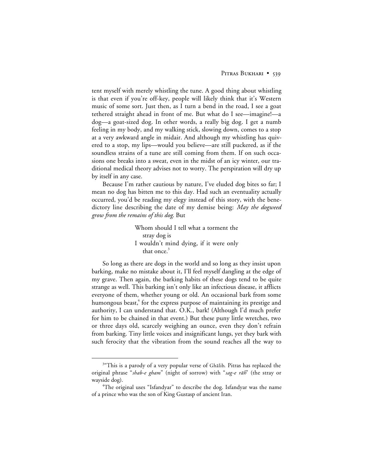#### PITRAS BUKHARI • 539

tent myself with merely whistling the tune. A good thing about whistling is that even if you're off-key, people will likely think that it's Western music of some sort. Just then, as I turn a bend in the road, I see a goat tethered straight ahead in front of me. But what do I see—imagine!—a dog—a goat-sized dog. In other words, a really big dog. I get a numb feeling in my body, and my walking stick, slowing down, comes to a stop at a very awkward angle in midair. And although my whistling has quivered to a stop, my lips—would you believe—are still puckered, as if the soundless strains of a tune are still coming from them. If on such occasions one breaks into a sweat, even in the midst of an icy winter, our traditional medical theory advises not to worry. The perspiration will dry up by itself in any case.

Because I'm rather cautious by nature, I've eluded dog bites so far; I mean no dog has bitten me to this day. Had such an eventuality actually occurred, you'd be reading my elegy instead of this story, with the benedictory line describing the date of my demise being: *May the dogweed grow from the remains of this dog*. But

> Whom should I tell what a torment the stray dog is I wouldn't mind dying, if it were only that once. $3$

So long as there are dogs in the world and so long as they insist upon barking, make no mistake about it, I'll feel myself dangling at the edge of my grave. Then again, the barking habits of these dogs tend to be quite strange as well. This barking isn't only like an infectious disease, it afflicts everyone of them, whether young or old. An occasional bark from some humongous beast, $4$  for the express purpose of maintaining its prestige and authority, I can understand that. O.K., bark! (Although I'd much prefer for him to be chained in that event.) But these puny little wretches, two or three days old, scarcely weighing an ounce, even they don't refrain from barking. Tiny little voices and insignificant lungs, yet they bark with such ferocity that the vibration from the sound reaches all the way to

 <sup>3</sup> <sup>3"</sup>This is a parody of a very popular verse of Ghalib. Pitras has replaced the original phrase "shab-e gham" (night of sorrow) with "sag-e rāh" (the stray or wayside dog).

 $\rm ^4$ The original uses "Isfandyar" to describe the dog. Isfandyar was the name of a prince who was the son of King Gustasp of ancient Iran.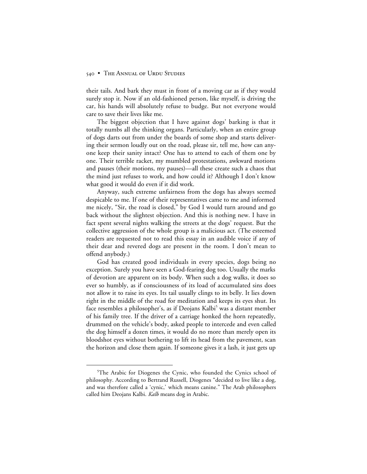#### 540 • THE ANNUAL OF URDU STUDIES

their tails. And bark they must in front of a moving car as if they would surely stop it. Now if an old-fashioned person, like myself, is driving the car, his hands will absolutely refuse to budge. But not everyone would care to save their lives like me.

The biggest objection that I have against dogs' barking is that it totally numbs all the thinking organs. Particularly, when an entire group of dogs darts out from under the boards of some shop and starts delivering their sermon loudly out on the road, please sir, tell me, how can anyone keep their sanity intact? One has to attend to each of them one by one. Their terrible racket, my mumbled protestations, awkward motions and pauses (their motions, my pauses)—all these create such a chaos that the mind just refuses to work, and how could it? Although I don't know what good it would do even if it did work.

Anyway, such extreme unfairness from the dogs has always seemed despicable to me. If one of their representatives came to me and informed me nicely, "Sir, the road is closed," by God I would turn around and go back without the slightest objection. And this is nothing new. I have in fact spent several nights walking the streets at the dogs' request. But the collective aggression of the whole group is a malicious act. (The esteemed readers are requested not to read this essay in an audible voice if any of their dear and revered dogs are present in the room. I don't mean to offend anybody.)

God has created good individuals in every species, dogs being no exception. Surely you have seen a God-fearing dog too. Usually the marks of devotion are apparent on its body. When such a dog walks, it does so ever so humbly, as if consciousness of its load of accumulated sins does not allow it to raise its eyes. Its tail usually clings to its belly. It lies down right in the middle of the road for meditation and keeps its eyes shut. Its face resembles a philosopher's, as if Deojans Kalbi<sup>3</sup> was a distant member of his family tree. If the driver of a carriage honked the horn repeatedly, drummed on the vehicle's body, asked people to intercede and even called the dog himself a dozen times, it would do no more than merely open its bloodshot eyes without bothering to lift its head from the pavement, scan the horizon and close them again. If someone gives it a lash, it just gets up

 $\frac{1}{5}$ <sup>5</sup>The Arabic for Diogenes the Cynic, who founded the Cynics school of philosophy. According to Bertrand Russell, Diogenes "decided to live like a dog, and was therefore called a 'cynic,' which means canine." The Arab philosophers called him Deojans Kalbi. *Kalb* means dog in Arabic.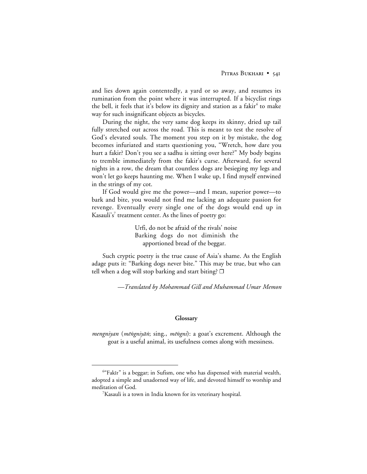and lies down again contentedly, a yard or so away, and resumes its rumination from the point where it was interrupted. If a bicyclist rings the bell, it feels that it's below its dignity and station as a fakir*<sup>6</sup>* to make way for such insignificant objects as bicycles.

During the night, the very same dog keeps its skinny, dried up tail fully stretched out across the road. This is meant to test the resolve of God's elevated souls. The moment you step on it by mistake, the dog becomes infuriated and starts questioning you, "Wretch, how dare you hurt a fakir? Don't you see a sadhu is sitting over here?" My body begins to tremble immediately from the fakir's curse. Afterward, for several nights in a row, the dream that countless dogs are besieging my legs and won't let go keeps haunting me. When I wake up, I find myself entwined in the strings of my cot.

If God would give me the power—and I mean, superior power—to bark and bite, you would not find me lacking an adequate passion for revenge. Eventually every single one of the dogs would end up in Kasauli's<sup>7</sup> treatment center. As the lines of poetry go:

> Urfi, do not be afraid of the rivals' noise Barking dogs do not diminish the apportioned bread of the beggar.

Such cryptic poetry is the true cause of Asia's shame. As the English adage puts it: "Barking dogs never bite." This may be true, but who can tell when a dog will stop barking and start biting?  $\Box$ 

*—Translated by Mohammad Gill and Muhammad Umar Memon*

#### **Glossary**

*mengniyan* (*mēngniyān*; sing., *mēngni*): a goat's excrement. Although the goat is a useful animal, its usefulness comes along with messiness.

 <sup>6</sup>  $64$ Fakīr" is a beggar; in Sufism, one who has dispensed with material wealth, adopted a simple and unadorned way of life, and devoted himself to worship and meditation of God.

<sup>7</sup> Kasauli is a town in India known for its veterinary hospital.